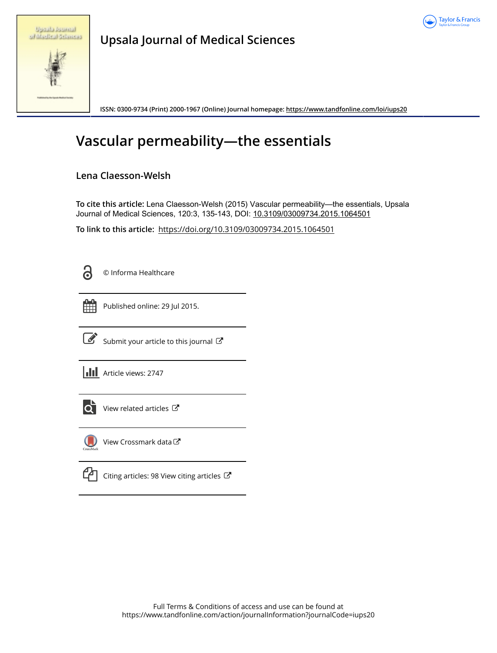

| <b>Spraha</b> Russiana |  |                     |
|------------------------|--|---------------------|
|                        |  | of Madisal Selances |

**Upsala Journal of Medical Sciences**

**ISSN: 0300-9734 (Print) 2000-1967 (Online) Journal homepage:<https://www.tandfonline.com/loi/iups20>**

# **Vascular permeability—the essentials**

# **Lena Claesson-Welsh**

**To cite this article:** Lena Claesson-Welsh (2015) Vascular permeability—the essentials, Upsala Journal of Medical Sciences, 120:3, 135-143, DOI: [10.3109/03009734.2015.1064501](https://www.tandfonline.com/action/showCitFormats?doi=10.3109/03009734.2015.1064501)

**To link to this article:** <https://doi.org/10.3109/03009734.2015.1064501>

© Informa Healthcare



Published online: 29 Jul 2015.



 $\overrightarrow{S}$  [Submit your article to this journal](https://www.tandfonline.com/action/authorSubmission?journalCode=iups20&show=instructions)  $\overrightarrow{S}$ 

**III** Article views: 2747



 $\overline{\mathbf{C}}$  [View related articles](https://www.tandfonline.com/doi/mlt/10.3109/03009734.2015.1064501)  $\mathbf{C}$ 



[View Crossmark data](http://crossmark.crossref.org/dialog/?doi=10.3109/03009734.2015.1064501&domain=pdf&date_stamp=2015-07-29)<sup>C</sup>



 $\Box$  [Citing articles: 98 View citing articles](https://www.tandfonline.com/doi/citedby/10.3109/03009734.2015.1064501#tabModule)  $\Box$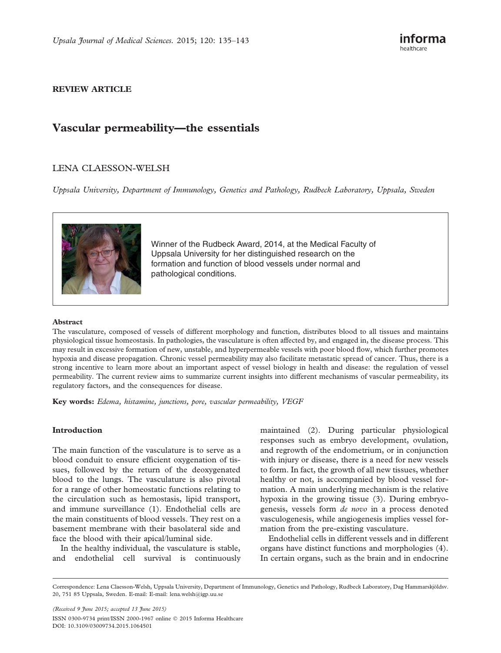# REVIEW ARTICLE

# Vascular permeability—the essentials

# LENA CLAESSON-WELSH

Uppsala University, Department of Immunology, Genetics and Pathology, Rudbeck Laboratory, Uppsala, Sweden



Winner of the Rudbeck Award, 2014, at the Medical Faculty of Uppsala University for her distinguished research on the formation and function of blood vessels under normal and pathological conditions.

#### Abstract

The vasculature, composed of vessels of different morphology and function, distributes blood to all tissues and maintains physiological tissue homeostasis. In pathologies, the vasculature is often affected by, and engaged in, the disease process. This may result in excessive formation of new, unstable, and hyperpermeable vessels with poor blood flow, which further promotes hypoxia and disease propagation. Chronic vessel permeability may also facilitate metastatic spread of cancer. Thus, there is a strong incentive to learn more about an important aspect of vessel biology in health and disease: the regulation of vessel permeability. The current review aims to summarize current insights into different mechanisms of vascular permeability, its regulatory factors, and the consequences for disease.

Key words: Edema, histamine, junctions, pore, vascular permeability, VEGF

# Introduction

The main function of the vasculature is to serve as a blood conduit to ensure efficient oxygenation of tissues, followed by the return of the deoxygenated blood to the lungs. The vasculature is also pivotal for a range of other homeostatic functions relating to the circulation such as hemostasis, lipid transport, and immune surveillance ([1](#page-7-0)). Endothelial cells are the main constituents of blood vessels. They rest on a basement membrane with their basolateral side and face the blood with their apical/luminal side.

In the healthy individual, the vasculature is stable, and endothelial cell survival is continuously

maintained [\(2](#page-7-0)). During particular physiological responses such as embryo development, ovulation, and regrowth of the endometrium, or in conjunction with injury or disease, there is a need for new vessels to form. In fact, the growth of all new tissues, whether healthy or not, is accompanied by blood vessel formation. A main underlying mechanism is the relative hypoxia in the growing tissue [\(3\)](#page-7-0). During embryogenesis, vessels form de novo in a process denoted vasculogenesis, while angiogenesis implies vessel formation from the pre-existing vasculature.

Endothelial cells in different vessels and in different organs have distinct functions and morphologies ([4\)](#page-7-0). In certain organs, such as the brain and in endocrine

Correspondence: Lena Claesson-Welsh, Uppsala University, Department of Immunology, Genetics and Pathology, Rudbeck Laboratory, Dag Hammarskjöldsv. 20, 751 85 Uppsala, Sweden. E-mail: [E-mail: lena.welsh@igp.uu.se](mailto:E-mail: lena.welsh@igp.uu.se)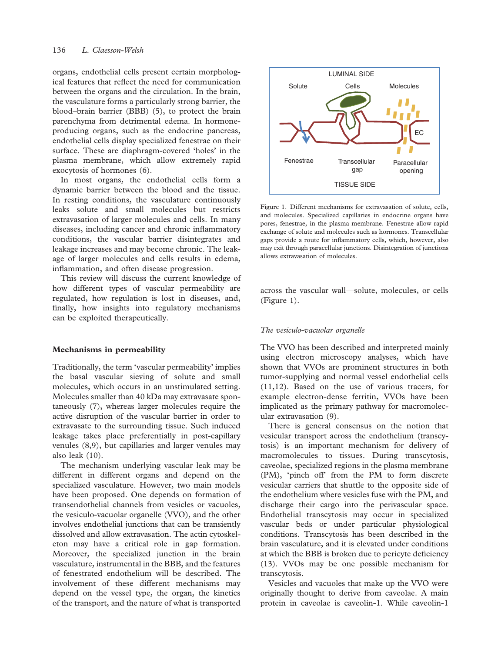organs, endothelial cells present certain morphological features that reflect the need for communication between the organs and the circulation. In the brain, the vasculature forms a particularly strong barrier, the blood–brain barrier (BBB) [\(5](#page-7-0)), to protect the brain parenchyma from detrimental edema. In hormoneproducing organs, such as the endocrine pancreas, endothelial cells display specialized fenestrae on their surface. These are diaphragm-covered 'holes' in the plasma membrane, which allow extremely rapid exocytosis of hormones [\(6\)](#page-7-0).

In most organs, the endothelial cells form a dynamic barrier between the blood and the tissue. In resting conditions, the vasculature continuously leaks solute and small molecules but restricts extravasation of larger molecules and cells. In many diseases, including cancer and chronic inflammatory conditions, the vascular barrier disintegrates and leakage increases and may become chronic. The leakage of larger molecules and cells results in edema, inflammation, and often disease progression.

This review will discuss the current knowledge of how different types of vascular permeability are regulated, how regulation is lost in diseases, and, finally, how insights into regulatory mechanisms can be exploited therapeutically.

#### Mechanisms in permeability

Traditionally, the term 'vascular permeability' implies the basal vascular sieving of solute and small molecules, which occurs in an unstimulated setting. Molecules smaller than 40 kDa may extravasate spontaneously ([7](#page-7-0)), whereas larger molecules require the active disruption of the vascular barrier in order to extravasate to the surrounding tissue. Such induced leakage takes place preferentially in post-capillary venules [\(8,9\)](#page-7-0), but capillaries and larger venules may also leak [\(10](#page-7-0)).

The mechanism underlying vascular leak may be different in different organs and depend on the specialized vasculature. However, two main models have been proposed. One depends on formation of transendothelial channels from vesicles or vacuoles, the vesiculo-vacuolar organelle (VVO), and the other involves endothelial junctions that can be transiently dissolved and allow extravasation. The actin cytoskeleton may have a critical role in gap formation. Moreover, the specialized junction in the brain vasculature, instrumental in the BBB, and the features of fenestrated endothelium will be described. The involvement of these different mechanisms may depend on the vessel type, the organ, the kinetics of the transport, and the nature of what is transported



Figure 1. Different mechanisms for extravasation of solute, cells, and molecules. Specialized capillaries in endocrine organs have pores, fenestrae, in the plasma membrane. Fenestrae allow rapid exchange of solute and molecules such as hormones. Transcellular gaps provide a route for inflammatory cells, which, however, also may exit through paracellular junctions. Disintegration of junctions allows extravasation of molecules.

across the vascular wall—solute, molecules, or cells (Figure 1).

#### The vesiculo-vacuolar organelle

The VVO has been described and interpreted mainly using electron microscopy analyses, which have shown that VVOs are prominent structures in both tumor-supplying and normal vessel endothelial cells ([11,12\)](#page-7-0). Based on the use of various tracers, for example electron-dense ferritin, VVOs have been implicated as the primary pathway for macromolecular extravasation ([9](#page-7-0)).

There is general consensus on the notion that vesicular transport across the endothelium (transcytosis) is an important mechanism for delivery of macromolecules to tissues. During transcytosis, caveolae, specialized regions in the plasma membrane (PM), 'pinch off' from the PM to form discrete vesicular carriers that shuttle to the opposite side of the endothelium where vesicles fuse with the PM, and discharge their cargo into the perivascular space. Endothelial transcytosis may occur in specialized vascular beds or under particular physiological conditions. Transcytosis has been described in the brain vasculature, and it is elevated under conditions at which the BBB is broken due to pericyte deficiency ([13](#page-7-0)). VVOs may be one possible mechanism for transcytosis.

Vesicles and vacuoles that make up the VVO were originally thought to derive from caveolae. A main protein in caveolae is caveolin-1. While caveolin-1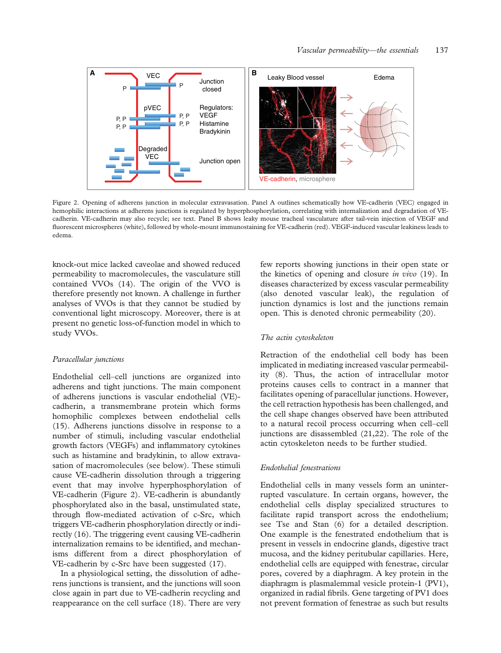

Figure 2. Opening of adherens junction in molecular extravasation. Panel A outlines schematically how VE-cadherin (VEC) engaged in hemophilic interactions at adherens junctions is regulated by hyperphosphorylation, correlating with internalization and degradation of VEcadherin. VE-cadherin may also recycle; see text. Panel B shows leaky mouse tracheal vasculature after tail-vein injection of VEGF and fluorescent microspheres (white), followed by whole-mount immunostaining for VE-cadherin (red). VEGF-induced vascular leakiness leads to edema.

knock-out mice lacked caveolae and showed reduced permeability to macromolecules, the vasculature still contained VVOs [\(14](#page-7-0)). The origin of the VVO is therefore presently not known. A challenge in further analyses of VVOs is that they cannot be studied by conventional light microscopy. Moreover, there is at present no genetic loss-of-function model in which to study VVOs.

## Paracellular junctions

Endothelial cell–cell junctions are organized into adherens and tight junctions. The main component of adherens junctions is vascular endothelial (VE) cadherin, a transmembrane protein which forms homophilic complexes between endothelial cells ([15](#page-7-0)). Adherens junctions dissolve in response to a number of stimuli, including vascular endothelial growth factors (VEGFs) and inflammatory cytokines such as histamine and bradykinin, to allow extravasation of macromolecules (see below). These stimuli cause VE-cadherin dissolution through a triggering event that may involve hyperphosphorylation of VE-cadherin (Figure 2). VE-cadherin is abundantly phosphorylated also in the basal, unstimulated state, through flow-mediated activation of c-Src, which triggers VE-cadherin phosphorylation directly or indirectly ([16](#page-7-0)). The triggering event causing VE-cadherin internalization remains to be identified, and mechanisms different from a direct phosphorylation of VE-cadherin by c-Src have been suggested [\(17\)](#page-7-0).

In a physiological setting, the dissolution of adherens junctions is transient, and the junctions will soon close again in part due to VE-cadherin recycling and reappearance on the cell surface [\(18](#page-7-0)). There are very

few reports showing junctions in their open state or the kinetics of opening and closure *in vivo* ([19](#page-7-0)). In diseases characterized by excess vascular permeability (also denoted vascular leak), the regulation of junction dynamics is lost and the junctions remain open. This is denoted chronic permeability [\(20\)](#page-7-0).

#### The actin cytoskeleton

Retraction of the endothelial cell body has been implicated in mediating increased vascular permeability [\(8\)](#page-7-0). Thus, the action of intracellular motor proteins causes cells to contract in a manner that facilitates opening of paracellular junctions. However, the cell retraction hypothesis has been challenged, and the cell shape changes observed have been attributed to a natural recoil process occurring when cell–cell junctions are disassembled [\(21](#page-7-0),[22\)](#page-7-0). The role of the actin cytoskeleton needs to be further studied.

#### Endothelial fenestrations

Endothelial cells in many vessels form an uninterrupted vasculature. In certain organs, however, the endothelial cells display specialized structures to facilitate rapid transport across the endothelium; see Tse and Stan [\(6\)](#page-7-0) for a detailed description. One example is the fenestrated endothelium that is present in vessels in endocrine glands, digestive tract mucosa, and the kidney peritubular capillaries. Here, endothelial cells are equipped with fenestrae, circular pores, covered by a diaphragm. A key protein in the diaphragm is plasmalemmal vesicle protein-1 (PV1), organized in radial fibrils. Gene targeting of PV1 does not prevent formation of fenestrae as such but results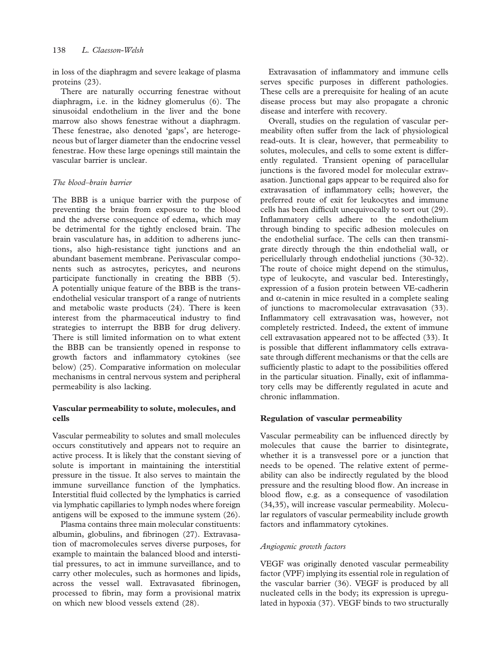in loss of the diaphragm and severe leakage of plasma proteins ([23\)](#page-7-0).

There are naturally occurring fenestrae without diaphragm, i.e. in the kidney glomerulus [\(6](#page-7-0)). The sinusoidal endothelium in the liver and the bone marrow also shows fenestrae without a diaphragm. These fenestrae, also denoted 'gaps', are heterogeneous but of larger diameter than the endocrine vessel fenestrae. How these large openings still maintain the vascular barrier is unclear.

# The blood–brain barrier

The BBB is a unique barrier with the purpose of preventing the brain from exposure to the blood and the adverse consequence of edema, which may be detrimental for the tightly enclosed brain. The brain vasculature has, in addition to adherens junctions, also high-resistance tight junctions and an abundant basement membrane. Perivascular components such as astrocytes, pericytes, and neurons participate functionally in creating the BBB ([5](#page-7-0)). A potentially unique feature of the BBB is the transendothelial vesicular transport of a range of nutrients and metabolic waste products [\(24](#page-7-0)). There is keen interest from the pharmaceutical industry to find strategies to interrupt the BBB for drug delivery. There is still limited information on to what extent the BBB can be transiently opened in response to growth factors and inflammatory cytokines (see below) [\(25](#page-7-0)). Comparative information on molecular mechanisms in central nervous system and peripheral permeability is also lacking.

# Vascular permeability to solute, molecules, and cells

Vascular permeability to solutes and small molecules occurs constitutively and appears not to require an active process. It is likely that the constant sieving of solute is important in maintaining the interstitial pressure in the tissue. It also serves to maintain the immune surveillance function of the lymphatics. Interstitial fluid collected by the lymphatics is carried via lymphatic capillaries to lymph nodes where foreign antigens will be exposed to the immune system [\(26\)](#page-8-0).

Plasma contains three main molecular constituents: albumin, globulins, and fibrinogen ([27\)](#page-8-0). Extravasation of macromolecules serves diverse purposes, for example to maintain the balanced blood and interstitial pressures, to act in immune surveillance, and to carry other molecules, such as hormones and lipids, across the vessel wall. Extravasated fibrinogen, processed to fibrin, may form a provisional matrix on which new blood vessels extend [\(28\)](#page-8-0).

Extravasation of inflammatory and immune cells serves specific purposes in different pathologies. These cells are a prerequisite for healing of an acute disease process but may also propagate a chronic disease and interfere with recovery.

Overall, studies on the regulation of vascular permeability often suffer from the lack of physiological read-outs. It is clear, however, that permeability to solutes, molecules, and cells to some extent is differently regulated. Transient opening of paracellular junctions is the favored model for molecular extravasation. Junctional gaps appear to be required also for extravasation of inflammatory cells; however, the preferred route of exit for leukocytes and immune cells has been difficult unequivocally to sort out [\(29\)](#page-8-0). Inflammatory cells adhere to the endothelium through binding to specific adhesion molecules on the endothelial surface. The cells can then transmigrate directly through the thin endothelial wall, or pericellularly through endothelial junctions ([30-32\)](#page-8-0). The route of choice might depend on the stimulus, type of leukocyte, and vascular bed. Interestingly, expression of a fusion protein between VE-cadherin and  $\alpha$ -catenin in mice resulted in a complete sealing of junctions to macromolecular extravasation [\(33\)](#page-8-0). Inflammatory cell extravasation was, however, not completely restricted. Indeed, the extent of immune cell extravasation appeared not to be affected [\(33](#page-8-0)). It is possible that different inflammatory cells extravasate through different mechanisms or that the cells are sufficiently plastic to adapt to the possibilities offered in the particular situation. Finally, exit of inflammatory cells may be differently regulated in acute and chronic inflammation.

# Regulation of vascular permeability

Vascular permeability can be influenced directly by molecules that cause the barrier to disintegrate, whether it is a transvessel pore or a junction that needs to be opened. The relative extent of permeability can also be indirectly regulated by the blood pressure and the resulting blood flow. An increase in blood flow, e.g. as a consequence of vasodilation ([34,35\)](#page-8-0), will increase vascular permeability. Molecular regulators of vascular permeability include growth factors and inflammatory cytokines.

# Angiogenic growth factors

VEGF was originally denoted vascular permeability factor (VPF) implying its essential role in regulation of the vascular barrier [\(36](#page-8-0)). VEGF is produced by all nucleated cells in the body; its expression is upregulated in hypoxia ([37\)](#page-8-0). VEGF binds to two structurally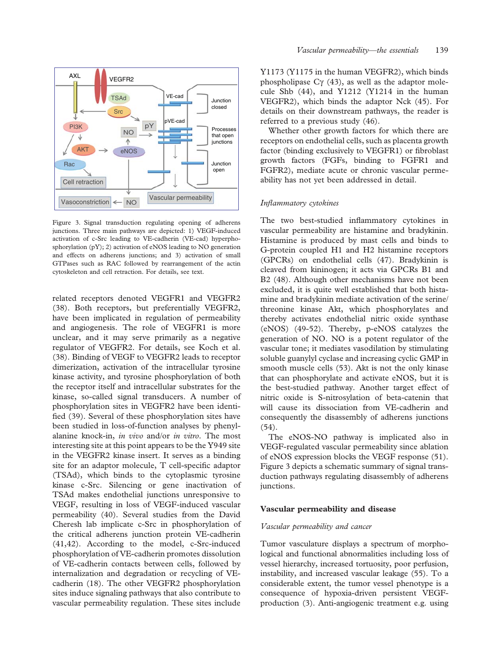

Figure 3. Signal transduction regulating opening of adherens junctions. Three main pathways are depicted: 1) VEGF-induced activation of c-Src leading to VE-cadherin (VE-cad) hyperphosphorylation (pY); 2) activation of eNOS leading to NO generation and effects on adherens junctions; and 3) activation of small GTPases such as RAC followed by rearrangement of the actin cytoskeleton and cell retraction. For details, see text.

related receptors denoted VEGFR1 and VEGFR2 ([38](#page-8-0)). Both receptors, but preferentially VEGFR2, have been implicated in regulation of permeability and angiogenesis. The role of VEGFR1 is more unclear, and it may serve primarily as a negative regulator of VEGFR2. For details, see Koch et al. ([38](#page-8-0)). Binding of VEGF to VEGFR2 leads to receptor dimerization, activation of the intracellular tyrosine kinase activity, and tyrosine phosphorylation of both the receptor itself and intracellular substrates for the kinase, so-called signal transducers. A number of phosphorylation sites in VEGFR2 have been identified ([39\)](#page-8-0). Several of these phosphorylation sites have been studied in loss-of-function analyses by phenylalanine knock-in, in vivo and/or in vitro. The most interesting site at this point appears to be the Y949 site in the VEGFR2 kinase insert. It serves as a binding site for an adaptor molecule, T cell-specific adaptor (TSAd), which binds to the cytoplasmic tyrosine kinase c-Src. Silencing or gene inactivation of TSAd makes endothelial junctions unresponsive to VEGF, resulting in loss of VEGF-induced vascular permeability [\(40](#page-8-0)). Several studies from the David Cheresh lab implicate c-Src in phosphorylation of the critical adherens junction protein VE-cadherin ([41,42\)](#page-8-0). According to the model, c-Src-induced phosphorylation of VE-cadherin promotes dissolution of VE-cadherin contacts between cells, followed by internalization and degradation or recycling of VEcadherin ([18\)](#page-7-0). The other VEGFR2 phosphorylation sites induce signaling pathways that also contribute to vascular permeability regulation. These sites include Y1173 (Y1175 in the human VEGFR2), which binds phospholipase  $C\gamma$  [\(43\)](#page-8-0), as well as the adaptor molecule Shb [\(44\)](#page-8-0), and Y1212 (Y1214 in the human VEGFR2), which binds the adaptor Nck [\(45\)](#page-8-0). For details on their downstream pathways, the reader is referred to a previous study ([46\)](#page-8-0).

Whether other growth factors for which there are receptors on endothelial cells, such as placenta growth factor (binding exclusively to VEGFR1) or fibroblast growth factors (FGFs, binding to FGFR1 and FGFR2), mediate acute or chronic vascular permeability has not yet been addressed in detail.

#### Inflammatory cytokines

The two best-studied inflammatory cytokines in vascular permeability are histamine and bradykinin. Histamine is produced by mast cells and binds to G-protein coupled H1 and H2 histamine receptors (GPCRs) on endothelial cells [\(47](#page-8-0)). Bradykinin is cleaved from kininogen; it acts via GPCRs B1 and B2 [\(48](#page-8-0)). Although other mechanisms have not been excluded, it is quite well established that both histamine and bradykinin mediate activation of the serine/ threonine kinase Akt, which phosphorylates and thereby activates endothelial nitric oxide synthase (eNOS) ([49](#page-8-0)-[52\)](#page-8-0). Thereby, p-eNOS catalyzes the generation of NO. NO is a potent regulator of the vascular tone; it mediates vasodilation by stimulating soluble guanylyl cyclase and increasing cyclic GMP in smooth muscle cells [\(53\)](#page-8-0). Akt is not the only kinase that can phosphorylate and activate eNOS, but it is the best-studied pathway. Another target effect of nitric oxide is S-nitrosylation of beta-catenin that will cause its dissociation from VE-cadherin and consequently the disassembly of adherens junctions ([54](#page-8-0)).

The eNOS-NO pathway is implicated also in VEGF-regulated vascular permeability since ablation of eNOS expression blocks the VEGF response [\(51\)](#page-8-0). Figure 3 depicts a schematic summary of signal transduction pathways regulating disassembly of adherens junctions.

## Vascular permeability and disease

### Vascular permeability and cancer

Tumor vasculature displays a spectrum of morphological and functional abnormalities including loss of vessel hierarchy, increased tortuosity, poor perfusion, instability, and increased vascular leakage ([55](#page-8-0)). To a considerable extent, the tumor vessel phenotype is a consequence of hypoxia-driven persistent VEGFproduction [\(3\)](#page-7-0). Anti-angiogenic treatment e.g. using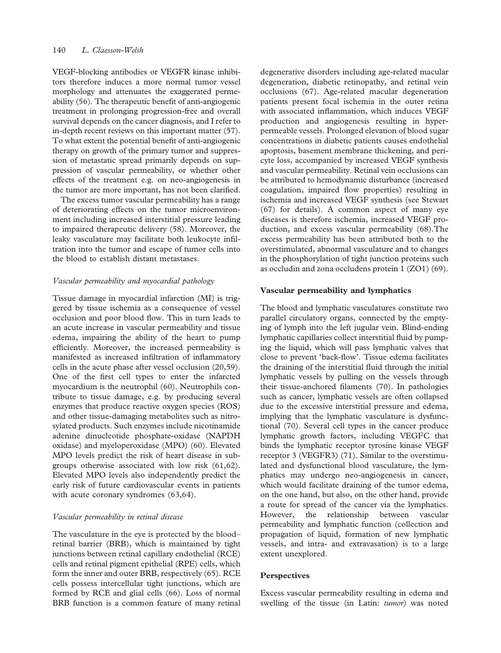VEGF-blocking antibodies or VEGFR kinase inhibitors therefore induces a more normal tumor vessel morphology and attenuates the exaggerated permeability ([56](#page-8-0)). The therapeutic benefit of anti-angiogenic treatment in prolonging progression-free and overall survival depends on the cancer diagnosis, and I refer to in-depth recent reviews on this important matter [\(57](#page-8-0)). To what extent the potential benefit of anti-angiogenic therapy on growth of the primary tumor and suppression of metastatic spread primarily depends on suppression of vascular permeability, or whether other effects of the treatment e.g. on neo-angiogenesis in the tumor are more important, has not been clarified.

The excess tumor vascular permeability has a range of deteriorating effects on the tumor microenvironment including increased interstitial pressure leading to impaired therapeutic delivery ([58\)](#page-8-0). Moreover, the leaky vasculature may facilitate both leukocyte infiltration into the tumor and escape of tumor cells into the blood to establish distant metastases.

#### Vascular permeability and myocardial pathology

Tissue damage in myocardial infarction (MI) is triggered by tissue ischemia as a consequence of vessel occlusion and poor blood flow. This in turn leads to an acute increase in vascular permeability and tissue edema, impairing the ability of the heart to pump efficiently. Moreover, the increased permeability is manifested as increased infiltration of inflammatory cells in the acute phase after vessel occlusion [\(20](#page-7-0)[,59\)](#page-8-0). One of the first cell types to enter the infarcted myocardium is the neutrophil [\(60](#page-8-0)). Neutrophils contribute to tissue damage, e.g. by producing several enzymes that produce reactive oxygen species (ROS) and other tissue-damaging metabolites such as nitrosylated products. Such enzymes include nicotinamide adenine dinucleotide phosphate-oxidase (NAPDH oxidase) and myeloperoxidase (MPO) [\(60](#page-8-0)). Elevated MPO levels predict the risk of heart disease in subgroups otherwise associated with low risk [\(61,62\)](#page-8-0). Elevated MPO levels also independently predict the early risk of future cardiovascular events in patients with acute coronary syndromes ([63](#page-8-0)[,64](#page-9-0)).

### Vascular permeability in retinal disease

The vasculature in the eye is protected by the blood– retinal barrier (BRB), which is maintained by tight junctions between retinal capillary endothelial (RCE) cells and retinal pigment epithelial (RPE) cells, which form the inner and outer BRB, respectively ([65](#page-9-0)). RCE cells possess intercellular tight junctions, which are formed by RCE and glial cells ([66\)](#page-9-0). Loss of normal BRB function is a common feature of many retinal degenerative disorders including age-related macular degeneration, diabetic retinopathy, and retinal vein occlusions ([67\)](#page-9-0). Age-related macular degeneration patients present focal ischemia in the outer retina with associated inflammation, which induces VEGF production and angiogenesis resulting in hyperpermeable vessels. Prolonged elevation of blood sugar concentrations in diabetic patients causes endothelial apoptosis, basement membrane thickening, and pericyte loss, accompanied by increased VEGF synthesis and vascular permeability. Retinal vein occlusions can be attributed to hemodynamic disturbance (increased coagulation, impaired flow properties) resulting in ischemia and increased VEGF synthesis (see Stewart ([67](#page-9-0)) for details). A common aspect of many eye diseases is therefore ischemia, increased VEGF production, and excess vascular permeability ([68](#page-9-0)).The excess permeability has been attributed both to the overstimulated, abnormal vasculature and to changes in the phosphorylation of tight junction proteins such as occludin and zona occludens protein 1 (ZO1) [\(69\)](#page-9-0).

#### Vascular permeability and lymphatics

The blood and lymphatic vasculatures constitute two parallel circulatory organs, connected by the emptying of lymph into the left jugular vein. Blind-ending lymphatic capillaries collect interstitial fluid by pumping the liquid, which will pass lymphatic valves that close to prevent 'back-flow'. Tissue edema facilitates the draining of the interstitial fluid through the initial lymphatic vessels by pulling on the vessels through their tissue-anchored filaments [\(70\)](#page-9-0). In pathologies such as cancer, lymphatic vessels are often collapsed due to the excessive interstitial pressure and edema, implying that the lymphatic vasculature is dysfunctional ([70](#page-9-0)). Several cell types in the cancer produce lymphatic growth factors, including VEGFC that binds the lymphatic receptor tyrosine kinase VEGF receptor 3 (VEGFR3) ([71\)](#page-9-0). Similar to the overstimulated and dysfunctional blood vasculature, the lymphatics may undergo neo-angiogenesis in cancer, which would facilitate draining of the tumor edema, on the one hand, but also, on the other hand, provide a route for spread of the cancer via the lymphatics. However, the relationship between vascular permeability and lymphatic function (collection and propagation of liquid, formation of new lymphatic vessels, and intra- and extravasation) is to a large extent unexplored.

#### **Perspectives**

Excess vascular permeability resulting in edema and swelling of the tissue (in Latin: tumor) was noted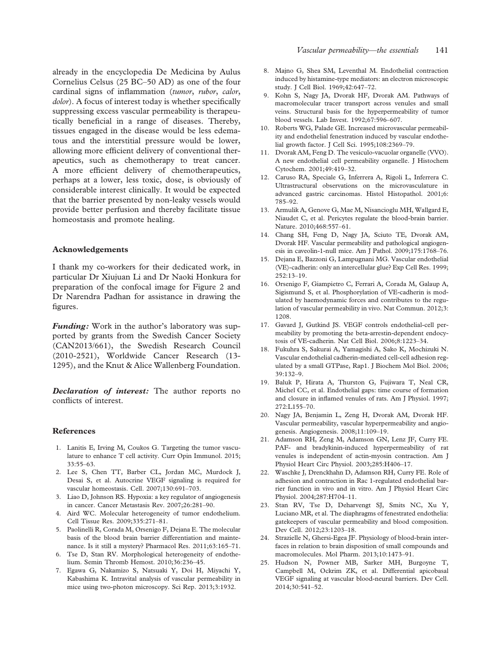<span id="page-7-0"></span>already in the encyclopedia De Medicina by Aulus Cornelius Celsus (25 BC–50 AD) as one of the four cardinal signs of inflammation (tumor, rubor, calor, dolor). A focus of interest today is whether specifically suppressing excess vascular permeability is therapeutically beneficial in a range of diseases. Thereby, tissues engaged in the disease would be less edematous and the interstitial pressure would be lower, allowing more efficient delivery of conventional therapeutics, such as chemotherapy to treat cancer. A more efficient delivery of chemotherapeutics, perhaps at a lower, less toxic, dose, is obviously of considerable interest clinically. It would be expected that the barrier presented by non-leaky vessels would provide better perfusion and thereby facilitate tissue homeostasis and promote healing.

## Acknowledgements

I thank my co-workers for their dedicated work, in particular Dr Xiujuan Li and Dr Naoki Honkura for preparation of the confocal image for Figure 2 and Dr Narendra Padhan for assistance in drawing the figures.

**Funding:** Work in the author's laboratory was supported by grants from the Swedish Cancer Society (CAN2013/661), the Swedish Research Council (2010-2521), Worldwide Cancer Research (13- 1295), and the Knut & Alice Wallenberg Foundation.

Declaration of interest: The author reports no conflicts of interest.

#### References

- 1. Lanitis E, Irving M, Coukos G. [Targeting the tumor vascu](http://www.ncbi.nlm.nih.gov/pubmed/25665467?dopt=Abstract)[lature to enhance T cell activity.](http://www.ncbi.nlm.nih.gov/pubmed/25665467?dopt=Abstract) Curr Opin Immunol. 2015; 33:55–63.
- 2. Lee S, Chen TT, Barber CL, Jordan MC, Murdock J, Desai S, et al. Autocrine VEGF signaling is required for vascular homeostasis. Cell. 2007;130:691–703.
- 3. Liao D, Johnson RS. [Hypoxia: a key regulator of angiogenesis](http://www.ncbi.nlm.nih.gov/pubmed/17603752?dopt=Abstract) [in cancer.](http://www.ncbi.nlm.nih.gov/pubmed/17603752?dopt=Abstract) Cancer Metastasis Rev. 2007;26:281–90.
- 4. Aird WC. [Molecular heterogeneity of tumor endothelium](http://www.ncbi.nlm.nih.gov/pubmed/18726119?dopt=Abstract). Cell Tissue Res. 2009;335:271–81.
- 5. Paolinelli R, Corada M, Orsenigo F, Dejana E. [The molecular](http://www.ncbi.nlm.nih.gov/pubmed/21167284?dopt=Abstract) [basis of the blood brain barrier differentiation and mainte](http://www.ncbi.nlm.nih.gov/pubmed/21167284?dopt=Abstract)[nance. Is it still a mystery?](http://www.ncbi.nlm.nih.gov/pubmed/21167284?dopt=Abstract) Pharmacol Res. 2011;63:165–71.
- 6. Tse D, Stan RV. [Morphological heterogeneity of endothe](http://www.ncbi.nlm.nih.gov/pubmed/20490976?dopt=Abstract)[lium](http://www.ncbi.nlm.nih.gov/pubmed/20490976?dopt=Abstract). Semin Thromb Hemost. 2010;36:236–45.
- 7. Egawa G, Nakamizo S, Natsuaki Y, Doi H, Miyachi Y, Kabashima K. [Intravital analysis of vascular permeability in](http://www.ncbi.nlm.nih.gov/pubmed/23732999?dopt=Abstract) [mice using two-photon microscopy](http://www.ncbi.nlm.nih.gov/pubmed/23732999?dopt=Abstract). Sci Rep. 2013;3:1932.
- 8. Majno G, Shea SM, Leventhal M. [Endothelial contraction](http://www.ncbi.nlm.nih.gov/pubmed/5801425?dopt=Abstract) [induced by histamine-type mediators: an electron microscopic](http://www.ncbi.nlm.nih.gov/pubmed/5801425?dopt=Abstract) [study](http://www.ncbi.nlm.nih.gov/pubmed/5801425?dopt=Abstract). J Cell Biol. 1969;42:647–72.
- 9. Kohn S, Nagy JA, Dvorak HF, Dvorak AM. [Pathways of](http://www.ncbi.nlm.nih.gov/pubmed/1279271?dopt=Abstract) [macromolecular tracer transport across venules and small](http://www.ncbi.nlm.nih.gov/pubmed/1279271?dopt=Abstract) [veins. Structural basis for the hyperpermeability of tumor](http://www.ncbi.nlm.nih.gov/pubmed/1279271?dopt=Abstract) [blood vessels.](http://www.ncbi.nlm.nih.gov/pubmed/1279271?dopt=Abstract) Lab Invest. 1992;67:596–607.
- 10. Roberts WG, Palade GE. [Increased microvascular permeabil](http://www.ncbi.nlm.nih.gov/pubmed/7673356?dopt=Abstract)[ity and endothelial fenestration induced by vascular endothe](http://www.ncbi.nlm.nih.gov/pubmed/7673356?dopt=Abstract)[lial growth factor](http://www.ncbi.nlm.nih.gov/pubmed/7673356?dopt=Abstract). J Cell Sci. 1995;108:2369–79.
- 11. Dvorak AM, Feng D. [The vesiculo-vacuolar organelle \(VVO\).](http://www.ncbi.nlm.nih.gov/pubmed/11259444?dopt=Abstract) [A new endothelial cell permeability organelle.](http://www.ncbi.nlm.nih.gov/pubmed/11259444?dopt=Abstract) J Histochem Cytochem. 2001;49:419–32.
- 12. Caruso RA, Speciale G, Inferrera A, Rigoli L, Inferrera C. [Ultrastructural observations on the microvasculature in](http://www.ncbi.nlm.nih.gov/pubmed/19191195?dopt=Abstract) [advanced gastric carcinomas](http://www.ncbi.nlm.nih.gov/pubmed/19191195?dopt=Abstract). Histol Histopathol. 2001;6: 785–92.
- 13. Armulik A, Genove G, Mae M, Nisancioglu MH, Wallgard E, Niaudet C, et al. [Pericytes regulate the blood-brain barrier](http://www.ncbi.nlm.nih.gov/pubmed/20944627?dopt=Abstract). Nature. 2010;468:557–61.
- 14. Chang SH, Feng D, Nagy JA, Sciuto TE, Dvorak AM, Dvorak HF. [Vascular permeability and pathological angiogen](http://www.ncbi.nlm.nih.gov/pubmed/19729487?dopt=Abstract)[esis in caveolin-1-null mice.](http://www.ncbi.nlm.nih.gov/pubmed/19729487?dopt=Abstract) Am J Pathol. 2009;175:1768–76.
- 15. Dejana E, Bazzoni G, Lampugnani MG. [Vascular endothelial](http://www.ncbi.nlm.nih.gov/pubmed/10502395?dopt=Abstract) [\(VE\)-cadherin: only an intercellular glue?](http://www.ncbi.nlm.nih.gov/pubmed/10502395?dopt=Abstract) Exp Cell Res. 1999; 252:13–19.
- 16. Orsenigo F, Giampietro C, Ferrari A, Corada M, Galaup A, Sigismund S, et al. [Phosphorylation of VE-cadherin is mod](http://www.ncbi.nlm.nih.gov/pubmed/23169049?dopt=Abstract)[ulated by haemodynamic forces and contributes to the regu](http://www.ncbi.nlm.nih.gov/pubmed/23169049?dopt=Abstract)[lation of vascular permeability in vivo](http://www.ncbi.nlm.nih.gov/pubmed/23169049?dopt=Abstract). Nat Commun. 2012;3: 1208.
- 17. Gavard J, Gutkind JS. [VEGF controls endothelial-cell per](http://www.ncbi.nlm.nih.gov/pubmed/17060906?dopt=Abstract)[meability by promoting the beta-arrestin-dependent endocy](http://www.ncbi.nlm.nih.gov/pubmed/17060906?dopt=Abstract)[tosis of VE-cadherin](http://www.ncbi.nlm.nih.gov/pubmed/17060906?dopt=Abstract). Nat Cell Biol. 2006;8:1223–34.
- 18. Fukuhra S, Sakurai A, Yamagishi A, Sako K, Mochizuki N. [Vascular endothelial cadherin-mediated cell-cell adhesion reg](http://www.ncbi.nlm.nih.gov/pubmed/16584626?dopt=Abstract)[ulated by a small GTPase, Rap1](http://www.ncbi.nlm.nih.gov/pubmed/16584626?dopt=Abstract). J Biochem Mol Biol. 2006; 39:132–9.
- 19. Baluk P, Hirata A, Thurston G, Fujiwara T, Neal CR, Michel CC, et al. [Endothelial gaps: time course of formation](http://www.ncbi.nlm.nih.gov/pubmed/9038915?dopt=Abstract) and closure in infl[amed venules of rats](http://www.ncbi.nlm.nih.gov/pubmed/9038915?dopt=Abstract). Am J Physiol. 1997; 272:L155–70.
- 20. Nagy JA, Benjamin L, Zeng H, Dvorak AM, Dvorak HF. [Vascular permeability, vascular hyperpermeability and angio](http://www.ncbi.nlm.nih.gov/pubmed/18293091?dopt=Abstract)[genesis](http://www.ncbi.nlm.nih.gov/pubmed/18293091?dopt=Abstract). Angiogenesis. 2008;11:109–19.
- 21. Adamson RH, Zeng M, Adamson GN, Lenz JF, Curry FE. [PAF- and bradykinin-induced hyperpermeability of rat](http://www.ncbi.nlm.nih.gov/pubmed/12649070?dopt=Abstract) [venules is independent of actin-myosin contraction.](http://www.ncbi.nlm.nih.gov/pubmed/12649070?dopt=Abstract) Am J Physiol Heart Circ Physiol. 2003;285:H406–17.
- 22. Waschke J, Drenckhahn D, Adamson RH, Curry FE. [Role of](http://www.ncbi.nlm.nih.gov/pubmed/15044196?dopt=Abstract) [adhesion and contraction in Rac 1-regulated endothelial bar](http://www.ncbi.nlm.nih.gov/pubmed/15044196?dopt=Abstract)[rier function in vivo and in vitro.](http://www.ncbi.nlm.nih.gov/pubmed/15044196?dopt=Abstract) Am J Physiol Heart Circ Physiol. 2004;287:H704–11.
- 23. Stan RV, Tse D, Deharvengt SJ, Smits NC, Xu Y, Luciano MR, et al. [The diaphragms of fenestrated endothelia:](http://www.ncbi.nlm.nih.gov/pubmed/23237953?dopt=Abstract) [gatekeepers of vascular permeability and blood composition](http://www.ncbi.nlm.nih.gov/pubmed/23237953?dopt=Abstract). Dev Cell. 2012;23:1203–18.
- 24. Strazielle N, Ghersi-Egea JF. [Physiology of blood-brain inter](http://www.ncbi.nlm.nih.gov/pubmed/23298398?dopt=Abstract)[faces in relation to brain disposition of small compounds and](http://www.ncbi.nlm.nih.gov/pubmed/23298398?dopt=Abstract) [macromolecules.](http://www.ncbi.nlm.nih.gov/pubmed/23298398?dopt=Abstract) Mol Pharm. 2013;10:1473–91.
- 25. Hudson N, Powner MB, Sarker MH, Burgoyne T, Campbell M, Ockrim ZK, et al. [Differential apicobasal](http://www.ncbi.nlm.nih.gov/pubmed/25175707?dopt=Abstract) [VEGF signaling at vascular blood-neural barriers.](http://www.ncbi.nlm.nih.gov/pubmed/25175707?dopt=Abstract) Dev Cell. 2014;30:541–52.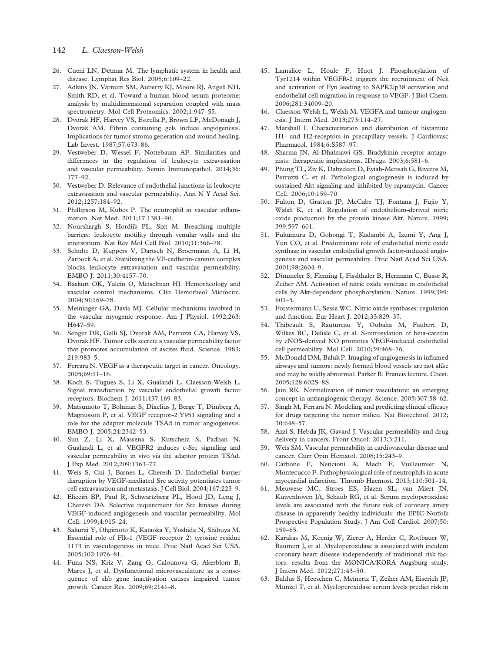#### <span id="page-8-0"></span>142 L. Claesson-Welsh

- 26. Cueni LN, Detmar M. [The lymphatic system in health and](http://www.ncbi.nlm.nih.gov/pubmed/19093783?dopt=Abstract) [disease](http://www.ncbi.nlm.nih.gov/pubmed/19093783?dopt=Abstract). Lymphat Res Biol. 2008;6:109–22.
- 27. Adkins JN, Varnum SM, Auberry KJ, Moore RJ, Angell NH, Smith RD, et al. [Toward a human blood serum proteome:](http://www.ncbi.nlm.nih.gov/pubmed/12543931?dopt=Abstract) [analysis by multidimensional separation coupled with mass](http://www.ncbi.nlm.nih.gov/pubmed/12543931?dopt=Abstract) [spectrometry.](http://www.ncbi.nlm.nih.gov/pubmed/12543931?dopt=Abstract) Mol Cell Proteomics. 2002;1:947–55.
- 28. Dvorak HF, Harvey VS, Estrella P, Brown LF, McDonagh J, Dvorak AM. [Fibrin containing gels induce angiogenesis.](http://www.ncbi.nlm.nih.gov/pubmed/2447383?dopt=Abstract) [Implications for tumor stroma generation and wound healing](http://www.ncbi.nlm.nih.gov/pubmed/2447383?dopt=Abstract). Lab Invest. 1987;57:673–86.
- 29. Vestweber D, Wessel F, Nottebaum AF. [Similarities and](http://www.ncbi.nlm.nih.gov/pubmed/24638889?dopt=Abstract) [differences in the regulation of leukocyte extravasation](http://www.ncbi.nlm.nih.gov/pubmed/24638889?dopt=Abstract) [and vascular permeability.](http://www.ncbi.nlm.nih.gov/pubmed/24638889?dopt=Abstract) Semin Immunopathol. 2014;36: 177–92.
- 30. Vestweber D. [Relevance of endothelial junctions in leukocyte](http://www.ncbi.nlm.nih.gov/pubmed/22671605?dopt=Abstract) [extravasation and vascular permeability](http://www.ncbi.nlm.nih.gov/pubmed/22671605?dopt=Abstract). Ann N Y Acad Sci. 2012;1257:184–92.
- 31. Phillipson M, Kubes P. [The neutrophil in vascular in](http://www.ncbi.nlm.nih.gov/pubmed/22064428?dopt=Abstract)flam[mation](http://www.ncbi.nlm.nih.gov/pubmed/22064428?dopt=Abstract). Nat Med. 2011;17:1381–90.
- 32. Nourshargh S, Hordijk PL, Sixt M. [Breaching multiple](http://www.ncbi.nlm.nih.gov/pubmed/20414258?dopt=Abstract) [barriers: leukocyte motility through venular walls and the](http://www.ncbi.nlm.nih.gov/pubmed/20414258?dopt=Abstract) [interstitium.](http://www.ncbi.nlm.nih.gov/pubmed/20414258?dopt=Abstract) Nat Rev Mol Cell Biol. 2010;11:366–78.
- 33. Schulte D, Kuppers V, Dartsch N, Broermann A, Li H, Zarbock A, et al. [Stabilizing the VE-cadherin-catenin complex](http://www.ncbi.nlm.nih.gov/pubmed/21857650?dopt=Abstract) [blocks leukocyte extravasation and vascular permeability](http://www.ncbi.nlm.nih.gov/pubmed/21857650?dopt=Abstract). EMBO J. 2011;30:4157–70.
- 34. Baskurt OK, Yalcin O, Meiselman HJ. [Hemorheology and](http://www.ncbi.nlm.nih.gov/pubmed/15258340?dopt=Abstract) [vascular control mechanisms](http://www.ncbi.nlm.nih.gov/pubmed/15258340?dopt=Abstract). Clin Hemorheol Microcirc. 2004;30:169–78.
- 35. Meininger GA, Davis MJ. [Cellular mechanisms involved in](http://www.ncbi.nlm.nih.gov/pubmed/1415587?dopt=Abstract) [the vascular myogenic response](http://www.ncbi.nlm.nih.gov/pubmed/1415587?dopt=Abstract). Am J Physiol. 1992;263: H647–59.
- 36. Senger DR, Galli SJ, Dvorak AM, Perruzzi CA, Harvey VS, Dvorak HF. [Tumor cells secrete a vascular permeability factor](http://www.ncbi.nlm.nih.gov/pubmed/6823562?dopt=Abstract) [that promotes accumulation of ascites](http://www.ncbi.nlm.nih.gov/pubmed/6823562?dopt=Abstract) fluid. Science. 1983; 219:983–5.
- 37. Ferrara N. VEGF as a therapeutic target in cancer. Oncology. 2005;69:11–16.
- 38. Koch S, Tugues S, Li X, Gualandi L, Claesson-Welsh L. [Signal transduction by vascular endothelial growth factor](http://www.ncbi.nlm.nih.gov/pubmed/21711246?dopt=Abstract) [receptors](http://www.ncbi.nlm.nih.gov/pubmed/21711246?dopt=Abstract). Biochem J. 2011;437:169–83.
- 39. Matsumoto T, Bohman S, Dixelius J, Berge T, Dimberg A, Magnusson P, et al. [VEGF receptor-2 Y951 signaling and a](http://www.ncbi.nlm.nih.gov/pubmed/15962004?dopt=Abstract) [role for the adapter molecule TSAd in tumor angiogenesis](http://www.ncbi.nlm.nih.gov/pubmed/15962004?dopt=Abstract). EMBO J. 2005;24:2342–53.
- 40. Sun Z, Li X, Massena S, Kutschera S, Padhan N, Gualandi L, et al. [VEGFR2 induces c-Src signaling and](http://www.ncbi.nlm.nih.gov/pubmed/22689825?dopt=Abstract) [vascular permeability in vivo via the adaptor protein TSAd](http://www.ncbi.nlm.nih.gov/pubmed/22689825?dopt=Abstract). J Exp Med. 2012;209:1363–77.
- 41. Weis S, Cui J, Barnes L, Cheresh D. [Endothelial barrier](http://www.ncbi.nlm.nih.gov/pubmed/15504909?dopt=Abstract) [disruption by VEGF-mediated Src activity potentiates tumor](http://www.ncbi.nlm.nih.gov/pubmed/15504909?dopt=Abstract) [cell extravasation and metastasis.](http://www.ncbi.nlm.nih.gov/pubmed/15504909?dopt=Abstract) J Cell Biol. 2004;167:223–9.
- 42. Eliceiri BP, Paul R, Schwartzberg PL, Hood JD, Leng J, Cheresh DA. [Selective requirement for Src kinases during](http://www.ncbi.nlm.nih.gov/pubmed/10635317?dopt=Abstract) [VEGF-induced angiogenesis and vascular permeability](http://www.ncbi.nlm.nih.gov/pubmed/10635317?dopt=Abstract). Mol Cell. 1999;4:915–24.
- 43. Sakurai Y, Ohgimoto K, Kataoka Y, Yoshida N, Shibuya M. [Essential role of Flk-1 \(VEGF receptor 2\) tyrosine residue](http://www.ncbi.nlm.nih.gov/pubmed/15644447?dopt=Abstract) [1173 in vasculogenesis in mice](http://www.ncbi.nlm.nih.gov/pubmed/15644447?dopt=Abstract). Proc Natl Acad Sci USA. 2005;102:1076–81.
- 44. Funa NS, Kriz V, Zang G, Calounova G, Akerblom B, Mares J, et al. [Dysfunctional microvasculature as a conse](http://www.ncbi.nlm.nih.gov/pubmed/19223532?dopt=Abstract)[quence of shb gene inactivation causes impaired tumor](http://www.ncbi.nlm.nih.gov/pubmed/19223532?dopt=Abstract) [growth.](http://www.ncbi.nlm.nih.gov/pubmed/19223532?dopt=Abstract) Cancer Res. 2009;69:2141–8.
- 45. Lamalice L, Houle F, Huot J. [Phosphorylation of](http://www.ncbi.nlm.nih.gov/pubmed/16966330?dopt=Abstract) [Tyr1214 within VEGFR-2 triggers the recruitment of Nck](http://www.ncbi.nlm.nih.gov/pubmed/16966330?dopt=Abstract) [and activation of Fyn leading to SAPK2/p38 activation and](http://www.ncbi.nlm.nih.gov/pubmed/16966330?dopt=Abstract) [endothelial cell migration in response to VEGF.](http://www.ncbi.nlm.nih.gov/pubmed/16966330?dopt=Abstract) J Biol Chem. 2006;281:34009–20.
- 46. Claesson-Welsh L, Welsh M. [VEGFA and tumour angiogen](http://www.ncbi.nlm.nih.gov/pubmed/23216836?dopt=Abstract)[esis](http://www.ncbi.nlm.nih.gov/pubmed/23216836?dopt=Abstract). J Intern Med. 2013;273:114–27.
- 47. Marshall I. [Characterization and distribution of histamine](http://www.ncbi.nlm.nih.gov/pubmed/6083401?dopt=Abstract) [H1- and H2-receptors in precapillary vessels](http://www.ncbi.nlm.nih.gov/pubmed/6083401?dopt=Abstract). J Cardiovasc Pharmacol. 1984;6:S587–97.
- 48. Sharma JN, Al-Dhalmawi GS. [Bradykinin receptor antago](http://www.ncbi.nlm.nih.gov/pubmed/12811681?dopt=Abstract)[nists: therapeutic implications.](http://www.ncbi.nlm.nih.gov/pubmed/12811681?dopt=Abstract) IDrugs. 2003;6:581–6.
- 49. Phung TL, Ziv K, Dabydeen D, Eyiah-Mensah G, Riveros M, Perruzzi C, et al. [Pathological angiogenesis is induced by](http://www.ncbi.nlm.nih.gov/pubmed/16904613?dopt=Abstract) [sustained Akt signaling and inhibited by rapamycin](http://www.ncbi.nlm.nih.gov/pubmed/16904613?dopt=Abstract). Cancer Cell. 2006;10:159–70.
- 50. Fulton D, Gratton JP, McCabe TJ, Fontana J, Fujio Y, Walsh K, et al. [Regulation of endothelium-derived nitric](http://www.ncbi.nlm.nih.gov/pubmed/10376602?dopt=Abstract) [oxide production by the protein kinase Akt](http://www.ncbi.nlm.nih.gov/pubmed/10376602?dopt=Abstract). Nature. 1999; 399:597–601.
- 51. Fukumura D, Gohongi T, Kadambi A, Izumi Y, Ang J, Yun CO, et al. [Predominant role of endothelial nitric oxide](http://www.ncbi.nlm.nih.gov/pubmed/11226286?dopt=Abstract) [synthase in vascular endothelial growth factor-induced angio](http://www.ncbi.nlm.nih.gov/pubmed/11226286?dopt=Abstract)[genesis and vascular permeability.](http://www.ncbi.nlm.nih.gov/pubmed/11226286?dopt=Abstract) Proc Natl Acad Sci USA. 2001;98:2604–9.
- 52. Dimmeler S, Fleming I, Fisslthaler B, Hermann C, Busse R, Zeiher AM. [Activation of nitric oxide synthase in endothelial](http://www.ncbi.nlm.nih.gov/pubmed/10376603?dopt=Abstract) [cells by Akt-dependent phosphorylation](http://www.ncbi.nlm.nih.gov/pubmed/10376603?dopt=Abstract). Nature. 1999;399: 601–5.
- 53. Forstermann U, Sessa WC. [Nitric oxide synthases: regulation](http://www.ncbi.nlm.nih.gov/pubmed/21890489?dopt=Abstract) [and function](http://www.ncbi.nlm.nih.gov/pubmed/21890489?dopt=Abstract). Eur Heart J. 2012;33:829–37.
- 54. Thibeault S, Rautureau Y, Oubaha M, Faubert D, Wilkes BC, Delisle C, et al. [S-nitrosylation of beta-catenin](http://www.ncbi.nlm.nih.gov/pubmed/20705246?dopt=Abstract) [by eNOS-derived NO promotes VEGF-induced endothelial](http://www.ncbi.nlm.nih.gov/pubmed/20705246?dopt=Abstract) [cell permeability](http://www.ncbi.nlm.nih.gov/pubmed/20705246?dopt=Abstract). Mol Cell. 2010;39:468–76.
- 55. McDonald DM, Baluk P. [Imaging of angiogenesis in in](http://www.ncbi.nlm.nih.gov/pubmed/16373858?dopt=Abstract)flamed [airways and tumors: newly formed blood vessels are not alike](http://www.ncbi.nlm.nih.gov/pubmed/16373858?dopt=Abstract) [and may be wildly abnormal: Parker B. Francis lecture](http://www.ncbi.nlm.nih.gov/pubmed/16373858?dopt=Abstract). Chest. 2005;128:602S–8S.
- 56. Jain RK. [Normalization of tumor vasculature: an emerging](http://www.ncbi.nlm.nih.gov/pubmed/15637262?dopt=Abstract) [concept in antiangiogenic therapy](http://www.ncbi.nlm.nih.gov/pubmed/15637262?dopt=Abstract). Science. 2005;307:58–62.
- 57. Singh M, Ferrara N. [Modeling and predicting clinical ef](http://www.ncbi.nlm.nih.gov/pubmed/22781694?dopt=Abstract)ficacy [for drugs targeting the tumor milieu](http://www.ncbi.nlm.nih.gov/pubmed/22781694?dopt=Abstract). Nat Biotechnol. 2012; 30:648–57.
- 58. Azzi S, Hebda JK, Gavard J. [Vascular permeability and drug](http://www.ncbi.nlm.nih.gov/pubmed/23967403?dopt=Abstract) [delivery in cancers.](http://www.ncbi.nlm.nih.gov/pubmed/23967403?dopt=Abstract) Front Oncol. 2013;3:211.
- 59. Weis SM. [Vascular permeability in cardiovascular disease and](http://www.ncbi.nlm.nih.gov/pubmed/18391792?dopt=Abstract) [cancer](http://www.ncbi.nlm.nih.gov/pubmed/18391792?dopt=Abstract). Curr Opin Hematol. 2008;15:243–9.
- 60. Carbone F, Nencioni A, Mach F, Vuilleumier N, Montecucco F. [Pathophysiological role of neutrophils in acute](http://www.ncbi.nlm.nih.gov/pubmed/23740239?dopt=Abstract) [myocardial infarction.](http://www.ncbi.nlm.nih.gov/pubmed/23740239?dopt=Abstract) Thromb Haemost. 2013;110:501–14.
- 61. Meuwese MC, Stroes ES, Hazen SL, van Miert JN, Kuivenhoven JA, Schaub RG, et al. [Serum myeloperoxidase](http://www.ncbi.nlm.nih.gov/pubmed/17616301?dopt=Abstract) [levels are associated with the future risk of coronary artery](http://www.ncbi.nlm.nih.gov/pubmed/17616301?dopt=Abstract) [disease in apparently healthy individuals: the EPIC-Norfolk](http://www.ncbi.nlm.nih.gov/pubmed/17616301?dopt=Abstract) [Prospective Population Study.](http://www.ncbi.nlm.nih.gov/pubmed/17616301?dopt=Abstract) J Am Coll Cardiol. 2007;50: 159–65.
- 62. Karakas M, Koenig W, Zierer A, Herder C, Rottbauer W, Baumert J, et al. [Myeloperoxidase is associated with incident](http://www.ncbi.nlm.nih.gov/pubmed/21535251?dopt=Abstract) [coronary heart disease independently of traditional risk fac](http://www.ncbi.nlm.nih.gov/pubmed/21535251?dopt=Abstract)[tors: results from the MONICA/KORA Augsburg study](http://www.ncbi.nlm.nih.gov/pubmed/21535251?dopt=Abstract). J Intern Med. 2012;271:43–50.
- 63. Baldus S, Heeschen C, Meinertz T, Zeiher AM, Eiserich JP, Munzel T, et al. [Myeloperoxidase serum levels predict risk in](http://www.ncbi.nlm.nih.gov/pubmed/12952835?dopt=Abstract)